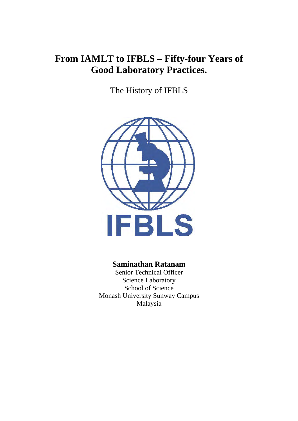## **From IAMLT to IFBLS – Fifty-four Years of Good Laboratory Practices.**

The History of IFBLS



## **Saminathan Ratanam**

Malaysia Senior Technical Officer Science Laboratory School of Science Monash University Sunway Campus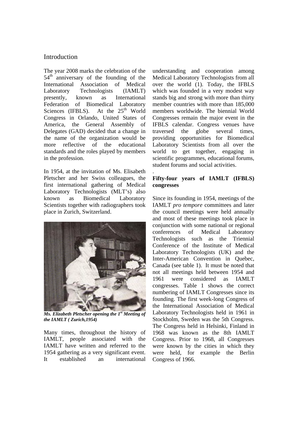## Introduction

The year 2008 marks the celebration of the 54<sup>th</sup> anniversary of the founding of the International Association of Medical Laboratory Technologists (IAMLT) presently, known as International Federation of Biomedical Laboratory Sciences (IFBLS). At the  $25<sup>th</sup>$  World Congress in Orlando, United States of America, the General Assembly of Delegates (GAD) decided that a change in the name of the organization would be more reflective of the educational standards and the roles played by members in the profession.

In 1954, at the invitation of Ms. Elisabeth Pletscher and her Swiss colleagues, the first international gathering of Medical Laboratory Technologists (MLT's) also known as Biomedical Laboratory Scientists together with radiographers took place in Zurich, Switzerland.



*Ms. Elizabeth Pletscher opening the 1st Meeting of the IAMLT ( Zurich,1954)* 

Many times, throughout the history of IAMLT, people associated with the IAMLT have written and referred to the 1954 gathering as a very significant event. It established an international

understanding and cooperation among Medical Laboratory Technologists from all over the world (1). Today, the IFBLS which was founded in a very modest way stands big and strong with more than thirty member countries with more than 185,000 members worldwide. The biennial World Congresses remain the major event in the IFBLS calendar. Congress venues have traversed the globe several times, providing opportunities for Biomedical Laboratory Scientists from all over the world to get together, engaging in scientific programmes, educational forums, student forums and social activities.

### **Fifty-four years of IAMLT (IFBLS) congresses**

.

Since its founding in 1954, meetings of the IAMLT *pro tempore* committees and later the council meetings were held annually and most of these meetings took place in conjunction with some national or regional conferences of Medical Laboratory Technologists such as the Triennial Conference of the Institute of Medical Laboratory Technologists (UK) and the Inter-American Convention in Quebec, Canada (see table 1). It must be noted that not all meetings held between 1954 and 1961 were considered as IAMLT congresses. Table 1 shows the correct numbering of IAMLT Congresses since its founding. The first week-long Congress of the International Association of Medical Laboratory Technologists held in 1961 in Stockholm, Sweden was the 5th Congress. The Congress held in Helsinki, Finland in 1968 was known as the 8th IAMLT Congress. Prior to 1968, all Congresses were known by the cities in which they were held, for example the Berlin Congress of 1966.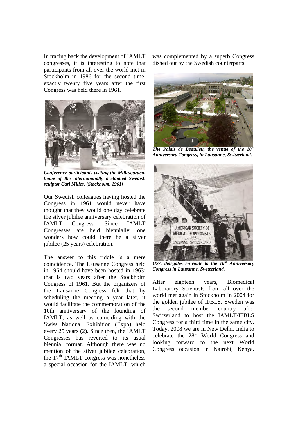In tracing back the development of IAMLT congresses, it is interesting to note that participants from all over the world met in Stockholm in 1986 for the second time, exactly twenty five years after the first Congress was held there in 1961.



*Conference participants visiting the Millesgarden, home of the internationally acclaimed Swedish sculptor Carl Milles. (Stockholm, 1961)* 

Our Swedish colleagues having hosted the Congress in 1961 would never have thought that they would one day celebrate the silver jubilee anniversary celebration of IAMLT Congress. Since IAMLT Congresses are held biennially, one wonders how could there be a silver jubilee (25 years) celebration.

The answer to this riddle is a mere coincidence. The Lausanne Congress held in 1964 should have been hosted in 1963; that is two years after the Stockholm Congress of 1961. But the organizers of the Lausanne Congress felt that by scheduling the meeting a year later, it would facilitate the commemoration of the 10th anniversary of the founding of IAMLT; as well as coinciding with the Swiss National Exhibition (Expo) held every 25 years (2). Since then, the IAMLT Congresses has reverted to its usual biennial format. Although there was no mention of the silver jubilee celebration, the  $17<sup>th</sup>$  IAMLT congress was nonetheless a special occasion for the IAMLT, which

was complemented by a superb Congress dished out by the Swedish counterparts.



**The Palais de Beaulieu, the venue of the 10<sup>th</sup>** *Anniversary Congress, in Lausanne, Switzerland.* 



*USA delegates en-route to the 10th Anniversary Congress in Lausanne, Switzerland.*

After eighteen years, Biomedical Laboratory Scientists from all over the world met again in Stockholm in 2004 for the golden jubilee of IFBLS. Sweden was the second member country after Switzerland to host the IAMLT/IFBLS Congress for a third time in the same city. Today, 2008 we are in New Delhi, India to celebrate the 28<sup>th</sup> World Congress and looking forward to the next World Congress occasion in Nairobi, Kenya.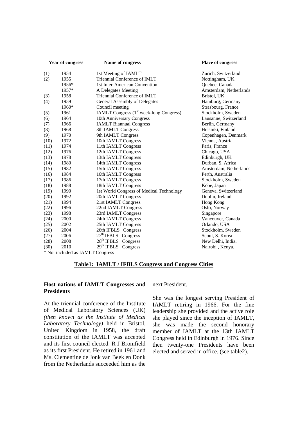| <b>Year of congress</b> |                                  | <b>Name of congress</b>                                    | Place of congress      |
|-------------------------|----------------------------------|------------------------------------------------------------|------------------------|
| (1)                     | 1954                             | 1st Meeting of IAMLT                                       | Zurich, Switzerland    |
| (2)                     | 1955                             | Triennial Conference of IMLT                               | Nottingham, UK         |
|                         | 1956*                            | 1st Inter-American Convention                              | Quebec, Canada         |
|                         | 1957*                            | A Delegates Meeting                                        | Amsterdam, Netherlands |
| (3)                     | 1958                             | Triennial Conference of IMLT                               | Bristol, UK            |
| (4)                     | 1959                             | General Assembly of Delegates                              | Hamburg, Germany       |
|                         | 1960*                            | Council meeting                                            | Strasbourg, France     |
| (5)                     | 1961                             | <b>IAMLT Congress</b> (1 <sup>st</sup> week-long Congress) | Stockholm, Sweden      |
| (6)                     | 1964                             | 10th Anniversary Congress                                  | Lausanne, Switzerland  |
| (7)                     | 1966                             | <b>IAMLT Biannual Congress</b>                             | Berlin, Germany        |
| (8)                     | 1968                             | 8th IAMLT Congress                                         | Helsinki, Finland      |
| (9)                     | 1970                             | 9th IAMLT Congress                                         | Copenhagen, Denmark    |
| (10)                    | 1972                             | 10th IAMLT Congress                                        | Vienna, Austria        |
| (11)                    | 1974                             | 11th IAMLT Congress                                        | Paris, France          |
| (12)                    | 1976                             | 12th IAMLT Congress                                        | Chicago, USA           |
| (13)                    | 1978                             | 13th IAMLT Congress                                        | Edinburgh, UK          |
| (14)                    | 1980                             | 14th IAMLT Congress                                        | Durban, S. Africa      |
| (15)                    | 1982                             | 15th IAMLT Congress                                        | Amsterdam, Netherlands |
| (16)                    | 1984                             | 16th IAMLT Congress                                        | Perth, Australia       |
| (17)                    | 1986                             | 17th IAMLT Congress                                        | Stockholm, Sweden      |
| (18)                    | 1988                             | 18th IAMLT Congress                                        | Kobe, Japan            |
| (19)                    | 1990                             | 1st World Congress of Medical Technology                   | Geneva, Switzerland    |
| (20)                    | 1992                             | 20th IAMLT Congress                                        | Dublin, Ireland        |
| (21)                    | 1994                             | 21st IAMLT Congress                                        | Hong Kong              |
| (22)                    | 1996                             | 22nd IAMLT Congress                                        | Oslo, Norway           |
| (23)                    | 1998                             | 23rd IAMLT Congress                                        | Singapore              |
| (24)                    | 2000                             | 24th IAMLT Congress                                        | Vancouver, Canada      |
| (25)                    | 2002                             | 25th IAMLT Congress                                        | Orlando, USA           |
| (26)                    | 2004                             | 26th IFBLS Congress                                        | Stockholm, Sweden      |
| (27)                    | 2006                             | $27th$ IFBLS Congress                                      | Seoul, S. Korea        |
| (28)                    | 2008                             | 28 <sup>th</sup> IFBLS Congress                            | New Delhi, India.      |
| (30)                    | 2010                             | 29 <sup>th</sup> IFBLS Congress                            | Nairobi, Kenya.        |
|                         | * Not included as IAMLT Congress |                                                            |                        |

#### **Table1: IAMLT / IFBLS Congress and Congress Cities**

#### **Host nations of IAMLT Congresses and Presidents**

At the triennial conference of the Institute of Medical Laboratory Sciences (UK) *(then known as the Institute of Medical Laboratory Technology)* held in Bristol, United Kingdom in 1958, the draft constitution of the IAMLT was accepted and its first council elected. R J Bromfield as its first President. He retired in 1961 and Ms. Clementine de Jonk van Beek en Donk from the Netherlands succeeded him as the

next President.

She was the longest serving President of IAMLT retiring in 1966. For the fine leadership she provided and the active role she played since the inception of IAMLT, she was made the second honorary member of IAMLT at the 13th IAMLT Congress held in Edinburgh in 1976. Since then twenty-one Presidents have been elected and served in office. (see table2).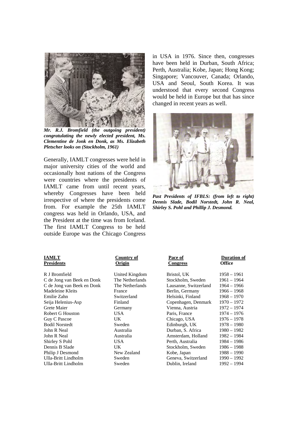

*Mr. R.J. Bromfield (the outgoing president) congratulating the newly elected president, Ms. Clementine de Jonk en Donk, as Ms. Elizabeth Pletscher looks on (Stockholm, 1961)* 

Generally, IAMLT congresses were held in major university cities of the world and occasionally host nations of the Congress were countries where the presidents of IAMLT came from until recent years, whereby Congresses have been held irrespective of where the presidents come from. For example the 25th IAMLT congress was held in Orlando, USA, and the President at the time was from Iceland. The first IAMLT Congress to be held outside Europe was the Chicago Congress

in USA in 1976. Since then, congresses have been held in Durban, South Africa; Perth, Australia; Kobe, Japan; Hong Kong; Singapore; Vancouver, Canada; Orlando, USA and Seoul, South Korea. It was understood that every second Congress would be held in Europe but that has since changed in recent years as well.



*Past Presidents of IFBLS: (from left to right) Dennis Slade, Bodil Norstedt, John R. Neal, Shirley S. Pohl and Phillip J. Desmond.*

## **Presidents**

# **IAMLT**<br>**Presidents Country of Origin**

| <b>IAMLT</b>               | Country of      | Pace of               | <b>Duration of</b> |
|----------------------------|-----------------|-----------------------|--------------------|
| Presidents                 | Origin          | <b>Congress</b>       | Office             |
| R J Bromfield              | United Kingdom  | Bristol, UK           | $1958 - 1961$      |
| C de Jong van Beek en Donk | The Netherlands | Stockholm, Sweden     | $1961 - 1964$      |
| C de Jong van Beek en Donk | The Netherlands | Lausanne, Switzerland | $1964 - 1966$      |
| Madeleine Kleits           | France          | Berlin, Germany       | $1966 - 1968$      |
| Emilie Zahn                | Switzerland     | Helsinki, Finland     | $1968 - 1970$      |
| Seija Helenius-Asp         | Finland         | Copenhagen, Denmark   | 1970 – 1972        |
| Grete Maier                | Germany         | Vienna, Austria       | 1972 - 1974        |
| Robert G Houston           | USA.            | Paris, France         | 1974 – 1976        |
| Guy C Pascoe               | UK.             | Chicago, USA          | $1976 - 1978$      |
| <b>Bodil Norstedt</b>      | Sweden          | Edinburgh, UK         | 1978 – 1980        |
| John R Neal                | Australia       | Durban, S. Africa     | $1980 - 1982$      |
| John R Neal                | Australia       | Amsterdam, Holland    | $1982 - 1984$      |
| Shirley S Pohl             | <b>USA</b>      | Perth, Australia      | $1984 - 1986$      |
| Dennis B Slade             | UK.             | Stockholm, Sweden     | $1986 - 1988$      |
| Philip J Desmond           | New Zealand     | Kobe, Japan           | $1988 - 1990$      |
| Ulla-Britt Lindholm        | Sweden          | Geneva, Switzerland   | 1990 - 1992        |
| Ulla-Britt Lindholm        | Sweden          | Dublin, Ireland       | 1992 – 1994        |
|                            |                 |                       |                    |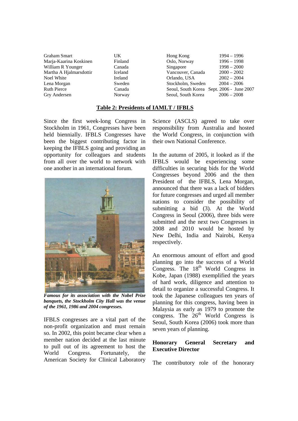| <b>Graham Smart</b>     | UK      | Hong Kong          | $1994 - 1996$                             |
|-------------------------|---------|--------------------|-------------------------------------------|
| Marja-Kaarina Koskinen  | Finland | Oslo, Norway       | $1996 - 1998$                             |
| William R Younger       | Canada  | Singapore          | $1998 - 2000$                             |
| Martha A Hjalmarsdottir | Iceland | Vancouver, Canada  | $2000 - 2002$                             |
| Noel White              | Ireland | Orlando, USA       | $2002 - 2004$                             |
| Lena Morgan             | Sweden  | Stockholm, Sweden  | $2004 - 2006$                             |
| <b>Ruth Pierce</b>      | Canada  | Seoul, South Korea | Seoul, South Korea Sept. 2006 - June 2007 |
| Gry Andersen            | Norway  |                    | $2006 - 2008$                             |
|                         |         |                    |                                           |

#### **Table 2: Presidents of IAMLT / IFBLS**

Since the first week-long Congress in Stockholm in 1961, Congresses have been held biennially. IFBLS Congresses have been the biggest contributing factor in keeping the IFBLS going and providing an opportunity for colleagues and students from all over the world to network with one another in an international forum.



*Famous for its association with the Nobel Prize banquets, the Stockholm City Hall was the venue of the 1961, 1986 and 2004 congresses.* 

IFBLS congresses are a vital part of the non-profit organization and must remain so. In 2002, this point became clear when a member nation decided at the last minute to pull out of its agreement to host the World Congress. Fortunately, the American Society for Clinical Laboratory Science (ASCLS) agreed to take over responsibility from Australia and hosted the World Congress, in conjunction with their own National Conference.

In the autumn of 2005, it looked as if the IFBLS would be experiencing some difficulties in securing bids for the World Congresses beyond 2006 and the then President of the IFBLS, Lena Morgan, announced that there was a lack of bidders for future congresses and urged all member nations to consider the possibility of submitting a bid (3). At the World Congress in Seoul (2006), three bids were submitted and the next two Congresses in 2008 and 2010 would be hosted by New Delhi, India and Nairobi, Kenya respectively.

An enormous amount of effort and good planning go into the success of a World Congress. The  $18<sup>th</sup>$  World Congress in Kobe, Japan (1988) exemplified the years of hard work, diligence and attention to detail to organize a successful Congress. It took the Japanese colleagues ten years of planning for this congress, having been in Malaysia as early as 1979 to promote the congress. The  $26<sup>th</sup>$  World Congress is Seoul, South Korea (2006) took more than seven years of planning.

### **Honorary General Secretary and Executive Director**

The contributory role of the honorary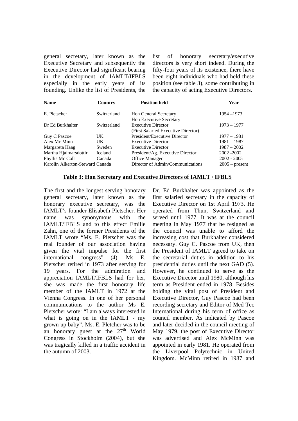general secretary, later known as the Executive Secretary and subsequently the Executive Director had significant bearing in the development of IAMLT/IFBLS especially in the early years of its founding. Unlike the list of Presidents, the

list of honorary secretary/executive directors is very short indeed. During the fifty-four years of its existence, there have been eight individuals who had held these position (see table 3), some contributing in the capacity of acting Executive Directors.

| <b>Name</b>                     | Country        | <b>Position held</b>                                             | Year             |
|---------------------------------|----------------|------------------------------------------------------------------|------------------|
| E. Pletscher                    | Switzerland    | <b>Hon General Secretary</b><br>Hon Executive Secretary          | $1954 - 1973$    |
| Dr Ed Burkhalter                | Switzerland    | <b>Executive Director</b><br>(First Salaried Executive Director) | $1973 - 1977$    |
| Guy C Pascoe                    | UK             | President/Executive Director                                     | $1977 - 1981$    |
| Alex Mc Minn                    | UK             | <b>Executive Director</b>                                        | $1981 - 1987$    |
| Margareta Haag                  | Sweden         | <b>Executive Director</b>                                        | $1987 - 2002$    |
| Martha Hjalmarsdottir           | <b>Iceland</b> | President/Ag. Executive Director                                 | 2002 - 2002      |
| Phyllis Mc Coll                 | Canada         | Office Manager                                                   | $2002 - 2005$    |
| Karolin Alkerton-Steward Canada |                | Director of Admin/Communications                                 | $2005$ – present |

#### **Table 3: Hon Secretary and Executive Directors of IAMLT** / **IFBLS**

The first and the longest serving honorary general secretary, later known as the honorary executive secretary, was the IAMLT's founder Elisabeth Pletscher. Her name was synonymous with the IAMLT/IFBLS and to this effect Emilie Zahn, one of the former Presidents of the IAMLT wrote "Ms. E. Pletscher was the real founder of our association having given the vital impulse for the first international congress" (4). Ms E. Pletscher retired in 1973 after serving for 19 years. For the admiration and appreciation IAMLT/IFBLS had for her, she was made the first honorary life member of the IAMLT in 1972 at the Vienna Congress. In one of her personal communications to the author Ms E. Pletscher wrote: "I am always interested in what is going on in the IAMLT - my grown up baby". Ms. E. Pletcher was to be an honorary guest at the  $27<sup>th</sup>$  World Congress in Stockholm (2004), but she was tragically killed in a traffic accident in the autumn of 2003.

Dr. Ed Burkhalter was appointed as the first salaried secretary in the capacity of Executive Director on 1st April 1973. He operated from Thun, Switzerland and served until 1977. It was at the council meeting in May 1977 that he resigned as the council was unable to afford the increasing cost that Burkhalter considered necessary. Guy C. Pascoe from UK, then the President of IAMLT agreed to take on the secretarial duties in addition to his presidential duties until the next GAD (5). However, he continued to serve as the Executive Director until 1980, although his term as President ended in 1978. Besides holding the vital post of President and Executive Director, Guy Pascoe had been recording secretary and Editor of Med Tec International during his term of office as council member. As indicated by Pascoe and later decided in the council meeting of May 1979, the post of Executive Director was advertised and Alex McMinn was appointed in early 1981. He operated from the Liverpool Polytechnic in United Kingdom. McMinn retired in 1987 and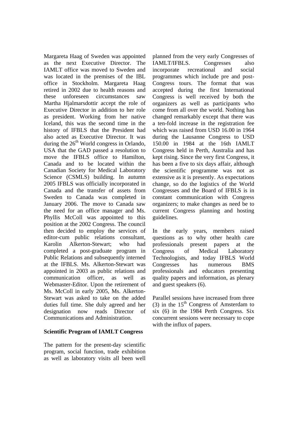Margareta Haag of Sweden was appointed as the next Executive Director. The IAMLT office was moved to Sweden and was located in the premises of the IBL office in Stockholm. Margareta Haag retired in 2002 due to health reasons and these unforeseen circumstances saw Martha Hjalmarsdottir accept the role of Executive Director in addition to her role as president. Working from her native Iceland, this was the second time in the history of IFBLS that the President had also acted as Executive Director. It was during the  $26<sup>th</sup>$  World congress in Orlando, USA that the GAD passed a resolution to move the IFBLS office to Hamilton, Canada and to be located within the Canadian Society for Medical Laboratory Science (CSMLS) building. In autumn 2005 IFBLS was officially incorporated in Canada and the transfer of assets from Sweden to Canada was completed in January 2006. The move to Canada saw the need for an office manager and Ms. Phyllis McColl was appointed to this position at the 2002 Congress. The council then decided to employ the services of editor-cum public relations consultant, Karolin Alkerton-Stewart; who had completed a post-graduate program in Public Relations and subsequently interned at the IFBLS. Ms. Alkerton-Stewart was appointed in 2003 as public relations and communication officer, as well as Webmaster-Editor. Upon the retirement of Ms. McColl in early 2005, Ms. Alkerton-Stewart was asked to take on the added duties full time. She duly agreed and her designation now reads Director of Communications and Administration.

#### **Scientific Program of IAMLT Congress**

The pattern for the present-day scientific program, social function, trade exhibition as well as laboratory visits all been well planned from the very early Congresses of IAMLT/IFBLS. Congresses also incorporate recreational and social programmes which include pre and post-Congress tours. The format that was accepted during the first International Congress is well received by both the organizers as well as participants who come from all over the world. Nothing has changed remarkably except that there was a ten-fold increase in the registration fee which was raised from USD 16.00 in 1964 during the Lausanne Congress to USD 150.00 in 1984 at the 16th IAMLT Congress held in Perth, Australia and has kept rising. Since the very first Congress, it has been a five to six days affair, although the scientific programme was not as extensive as it is presently. As expectations change, so do the logistics of the World Congresses and the Board of IFBLS is in constant communication with Congress organizers; to make changes as need be to current Congress planning and hosting guidelines.

In the early years, members raised questions as to why other health care professionals present papers at the Congress of Medical Laboratory Technologists, and today IFBLS World Congresses has numerous BMS professionals and educators presenting quality papers and information, as plenary and guest speakers (6).

Parallel sessions have increased from three (3) in the  $15<sup>th</sup>$  Congress of Amsterdam to six (6) in the 1984 Perth Congress. Six concurrent sessions were necessary to cope with the influx of papers.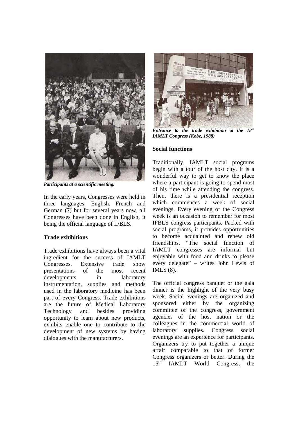

*Participants at a scientific meeting.* 

In the early years, Congresses were held in three languages: English, French and German (7) but for several years now, all Congresses have been done in English, it being the official language of IFBLS.

### **Trade exhibitions**

Trade exhibitions have always been a vital ingredient for the success of IAMLT Congresses. Extensive trade show presentations of the most recent developments in laboratory instrumentation, supplies and methods used in the laboratory medicine has been part of every Congress. Trade exhibitions are the future of Medical Laboratory Technology and besides providing opportunity to learn about new products, exhibits enable one to contribute to the development of new systems by having dialogues with the manufacturers.



*Entrance to the trade exhibition at the 18th IAMLT Congress (Kobe, 1988)* 

### **Social functions**

Traditionally, IAMLT social programs begin with a tour of the host city. It is a wonderful way to get to know the place where a participant is going to spend most of his time while attending the congress. Then, there is a presidential reception which commences a week of social evenings. Every evening of the Congress week is an occasion to remember for most IFBLS congress participants. Packed with social programs, it provides opportunities to become acquainted and renew old friendships. "The social function of IAMLT congresses are informal but enjoyable with food and drinks to please every delegate" – writes John Lewis of IMLS (8).

The official congress banquet or the gala dinner is the highlight of the very busy week. Social evenings are organized and sponsored either by the organizing committee of the congress, government agencies of the host nation or the colleagues in the commercial world of laboratory supplies. Congress social evenings are an experience for participants. Organizers try to put together a unique affair comparable to that of former Congress organizers or better. During the 15<sup>th</sup> IAMLT World Congress, the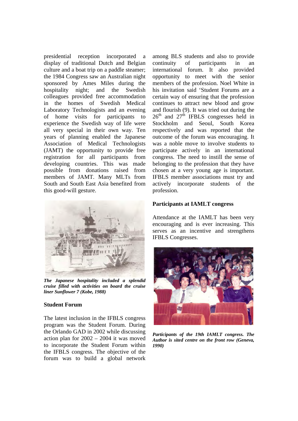presidential reception incorporated a display of traditional Dutch and Belgian culture and a boat trip on a paddle steamer; the 1984 Congress saw an Australian night sponsored by Ames Miles during the hospitality night; and the Swedish colleagues provided free accommodation in the homes of Swedish Medical Laboratory Technologists and an evening of home visits for participants to experience the Swedish way of life were all very special in their own way. Ten years of planning enabled the Japanese Association of Medical Technologists (JAMT) the opportunity to provide free registration for all participants from developing countries. This was made possible from donations raised from members of JAMT. Many MLTs from South and South East Asia benefited from this good-will gesture.



*The Japanese hospitality included a splendid cruise filled with activities on board the cruise liner Sunflower 7 (Kobe, 1988)* 

#### **Student Forum**

The latest inclusion in the IFBLS congress program was the Student Forum. During the Orlando GAD in 2002 while discussing action plan for 2002 – 2004 it was moved to incorporate the Student Forum within the IFBLS congress. The objective of the forum was to build a global network

among BLS students and also to provide continuity of participants in an international forum. It also provided opportunity to meet with the senior members of the profession. Noel White in his invitation said 'Student Forums are a certain way of ensuring that the profession continues to attract new blood and grow and flourish (9). It was tried out during the  $26<sup>th</sup>$  and  $27<sup>th</sup>$  IFBLS congresses held in Stockholm and Seoul, South Korea respectively and was reported that the outcome of the forum was encouraging. It was a noble move to involve students to participate actively in an international congress. The need to instill the sense of belonging to the profession that they have chosen at a very young age is important. IFBLS member associations must try and actively incorporate students of the profession.

#### **Participants at IAMLT congress**

Attendance at the IAMLT has been very encouraging and is ever increasing. This serves as an incentive and strengthens IFBLS Congresses.



*Participants of the 19th IAMLT congress. The Author is sited centre on the front row (Geneva, 1990)*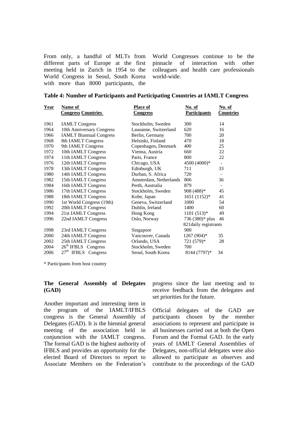From only, a handful of MLTs from different parts of Europe at the first meeting held in Zurich in 1954 to the World Congress in Seoul, South Korea with more than 8000 participants, the

World Congresses continue to be the pinnacle of interaction with other colleagues and health care professionals world-wide.

|  | Table 4: Number of Participants and Participating Countries at IAMLT Congress |  |
|--|-------------------------------------------------------------------------------|--|
|  |                                                                               |  |

| <u>Year</u> | Name of                        | <b>Place of</b>        | No. of                | No. of                   |
|-------------|--------------------------------|------------------------|-----------------------|--------------------------|
|             | <b>Congress Countries</b>      | <b>Congress</b>        | <b>Participants</b>   | <b>Countries</b>         |
| 1961        | <b>IAMLT Congress</b>          | Stockholm, Sweden      | 300                   | 14                       |
| 1964        | 10th Anniversary Congress      | Lausanne, Switzerland  | 620                   | 16                       |
| 1966        | <b>IAMLT Biannual Congress</b> | Berlin, Germany        | 700                   | 20                       |
| 1968        | 8th IAMLT Congress             | Helsinki, Finland      | 470                   | 18                       |
| 1970        | 9th IAMLT Congress             | Copenhagen, Denmark    | 400                   | 25                       |
| 1972        | 10th IAMLT Congress            | Vienna, Austria        | 660                   | 22                       |
| 1974        | 11th IAMLT Congress            | Paris, France          | 800                   | 22                       |
| 1976        | 12th IAMLT Congress            | Chicago, USA           | 4500 (4000)*          | $\overline{\phantom{a}}$ |
| 1978        | 13th IAMLT Congress            | Edinburgh, UK          | 711                   | 33                       |
| 1980        | 14th IAMLT Congress            | Durban, S. Africa      | 720                   | $\overline{\phantom{a}}$ |
| 1982        | 15th IAMLT Congress            | Amsterdam, Netherlands | 806                   | 36                       |
| 1984        | 16th IAMLT Congress            | Perth, Australia       | 879                   | $\overline{\phantom{a}}$ |
| 1986        | 17th IAMLT Congress            | Stockholm, Sweden      | 908 (488)*            | 45                       |
| 1988        | 18th IAMLT Congress            | Kobe, Japan            | $1651 (1152)^*$       | 41                       |
| 1990        | 1st World Congress (19th)      | Geneva, Switzerland    | 1000                  | 54                       |
| 1992        | 20th IAMLT Congress            | Dublin, Ireland        | 1400                  | 60                       |
| 1994        | 21st IAMLT Congress            | Hong Kong              | $1101 (513)*$         | 49                       |
| 1996        | 22nd IAMLT Congress            | Oslo, Norway           | 736 (380)* plus       | 46                       |
|             |                                |                        | 821 daily registrants |                          |
| 1998        | 23rd IAMLT Congress            | Singapore              | 900                   |                          |
| 2000        | 24th IAMLT Congress            | Vancouver, Canada      | 1267 (904)*           | 35                       |
| 2002        | 25th IAMLT Congress            | Orlando, USA           | 721 (579)*            | 28                       |
| 2004        | $26th$ IFBLS Congress          | Stockholm, Sweden      | 700                   |                          |
| 2006        | $27th$ IFBLS Congress          | Seoul, South Korea     | 8144 (7797)*          | 34                       |

\* Participants from host country

#### **The General Assembly of Delegates (GAD)**

Another important and interesting item in the program of the IAMLT/IFBLS congress is the General Assembly of Delegates (GAD). It is the biennial general meeting of the association held in conjunction with the IAMLT congress. The formal GAD is the highest authority of IFBLS and provides an opportunity for the elected Board of Directors to report to Associate Members on the Federation's

progress since the last meeting and to receive feedback from the delegates and set priorities for the future.

Official delegates of the GAD are participants chosen by the member associations to represent and participate in all businesses carried out at both the Open Forum and the Formal GAD. In the early years of IAMLT General Assemblies of Delegates, non-official delegates were also allowed to participate as observes and contribute to the proceedings of the GAD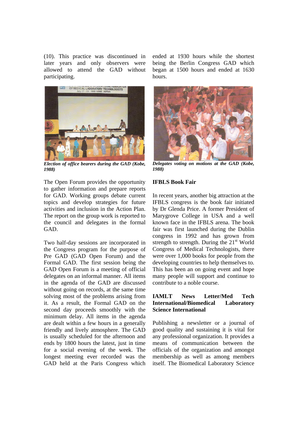(10). This practice was discontinued in later years and only observers were allowed to attend the GAD without participating.



*Election of office bearers during the GAD (Kobe, 1988)* 

The Open Forum provides the opportunity to gather information and prepare reports for GAD. Working groups debate current topics and develop strategies for future activities and inclusion in the Action Plan. The report on the group work is reported to the council and delegates in the formal GAD.

Two half-day sessions are incorporated in the Congress program for the purpose of Pre GAD (GAD Open Forum) and the Formal GAD. The first session being the GAD Open Forum is a meeting of official delegates on an informal manner. All items in the agenda of the GAD are discussed without going on records, at the same time solving most of the problems arising from it. As a result, the Formal GAD on the second day proceeds smoothly with the minimum delay. All items in the agenda are dealt within a few hours in a generally friendly and lively atmosphere. The GAD is usually scheduled for the afternoon and ends by 1800 hours the latest, just in time for a social evening of the week. The longest meeting ever recorded was the GAD held at the Paris Congress which

ended at 1930 hours while the shortest being the Berlin Congress GAD which began at 1500 hours and ended at 1630 hours.



*Delegates voting on motions at the GAD (Kobe, 1988)* 

#### **IFBLS Book Fair**

In recent years, another big attraction at the IFBLS congress is the book fair initiated by Dr Glenda Price. A former President of Marygrove College in USA and a well known face in the IFBLS arena. The book fair was first launched during the Dublin congress in 1992 and has grown from strength to strength. During the  $21<sup>st</sup>$  World Congress of Medical Technologists, there were over 1,000 books for people from the developing countries to help themselves to. This has been an on going event and hope many people will support and continue to contribute to a noble course.

#### **IAMLT News Letter/Med Tech International/Biomedical Laboratory Science International**

Publishing a newsletter or a journal of good quality and sustaining it is vital for any professional organization. It provides a means of communication between the officials of the organization and amongst membership as well as among members itself. The Biomedical Laboratory Science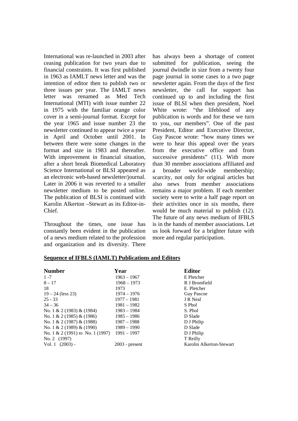International was re-launched in 2003 after ceasing publication for two years due to financial constraints. It was first published in 1963 as IAMLT news letter and was the intention of editor then to publish two or three issues per year. The IAMLT news letter was renamed as Med Tech International (MTI) with issue number 22 in 1975 with the familiar orange color cover in a semi-journal format. Except for the year 1965 and issue number 23 the newsletter continued to appear twice a year in April and October until 2001. In between there were some changes in the format and size in 1983 and thereafter. With improvement in financial situation, after a short break Biomedical Laboratory Science International or BLSI appeared as an electronic web-based newsletter/journal. Later in 2006 it was reverted to a smaller newsletter medium to be posted online. The publication of BLSI is continued with Karolin Alkerton –Stewart as its Editor-in-Chief.

Throughout the times, one issue has constantly been evident in the publication of a news medium related to the profession and organization and its diversity. There

has always been a shortage of content submitted for publication, seeing the journal dwindle in size from a twenty four page journal in some cases to a two page newsletter again. From the days of the first newsletter, the call for support has continued up to and including the first issue of BLSI when then president, Noel White wrote: "the lifeblood of any publication is words and for these we turn to you, our members". One of the past President, Editor and Executive Director, Guy Pascoe wrote: "how many times we were to hear this appeal over the years from the executive office and from successive presidents" (11). With more than 30 member associations affiliated and a broader world-wide membership; scarcity, not only for original articles but also news from member associations remains a major problem. If each member society were to write a half page report on their activities once in six months, there would be much material to publish (12). The future of any news medium of IFBLS is in the hands of member associations. Let us look forward for a brighter future with more and regular participation.

#### **Sequence of IFBLS (IAMLT) Publications and Editors**

| <b>Number</b>                    | Year             | <b>Editor</b>            |
|----------------------------------|------------------|--------------------------|
| $1 - 7$                          | $1963 - 1967$    | E Pletcher               |
| $8 - 17$                         | $1968 - 1973$    | R J Bromfield            |
| 18                               | 1973             | E. Pletcher              |
| $19 - 24$ (less 23)              | $1974 - 1976$    | <b>Guy Pascoe</b>        |
| $25 - 33$                        | $1977 - 1981$    | J R Neal                 |
| $34 - 36$                        | $1981 - 1982$    | S Phol                   |
| No. 1 & 2 (1983) & (1984)        | $1983 - 1984$    | S. Phol                  |
| No. 1 & 2 (1985) & (1986)        | $1985 - 1986$    | D Slade                  |
| No. 1 & 2 (1987) & (1988)        | $1987 - 1988$    | D J Philip               |
| No. 1 & 2 (1989) & (1990)        | $1989 - 1990$    | D Slade                  |
| No. 1 & 2 (1991) to No. 1 (1997) | $1991 - 1997$    | D J Philip               |
| No. 2 (1997)                     |                  | T Reilly                 |
| Vol. 1 $(2003)$ -                | $2003$ - present | Karolin Alkerton-Stewart |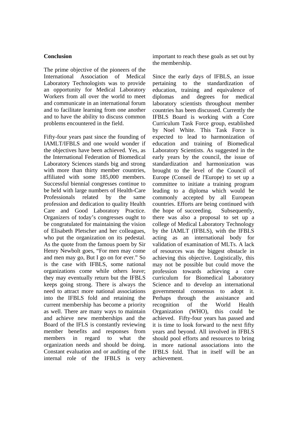#### **Conclusion**

The prime objective of the pioneers of the International Association of Medical Laboratory Technologists was to provide an opportunity for Medical Laboratory Workers from all over the world to meet and communicate in an international forum and to facilitate learning from one another and to have the ability to discuss common problems encountered in the field.

Fifty-four years past since the founding of IAMLT/IFBLS and one would wonder if the objectives have been achieved. Yes, as the International Federation of Biomedical Laboratory Sciences stands big and strong with more than thirty member countries, affiliated with some 185,000 members. Successful biennial congresses continue to be held with large numbers of Health-Care Professionals related by the same profession and dedication to quality Health Care and Good Laboratory Practice. Organizers of today's congresses ought to be congratulated for maintaining the vision of Elisabeth Pletscher and her colleagues, who put the organization on its pedestal. As the quote from the famous poem by Sir Henry Newbolt goes, "For men may come and men may go, But I go on for ever." So is the case with IFBLS, some national organizations come while others leave; they may eventually return but the IFBLS keeps going strong. There is always the need to attract more national associations into the IFBLS fold and retaining the current membership has become a priority as well. There are many ways to maintain and achieve new memberships and the Board of the IFLS is constantly reviewing member benefits and responses from members in regard to what the organization needs and should be doing. Constant evaluation and or auditing of the internal role of the IFBLS is very

important to reach these goals as set out by the membership.

Since the early days of IFBLS, an issue pertaining to the standardization of education, training and equivalence of diplomas and degrees for medical laboratory scientists throughout member countries has been discussed. Currently the IFBLS Board is working with a Core Curriculum Task Force group, established by Noel White. This Task Force is expected to lead to harmonization of education and training of Biomedical Laboratory Scientists. As suggested in the early years by the council, the issue of standardization and harmonization was brought to the level of the Council of Europe (Conseil de l'Europe) to set up a committee to initiate a training program leading to a diploma which would be commonly accepted by all European countries. Efforts are being continued with the hope of succeeding. Subsequently, there was also a proposal to set up a college of Medical Laboratory Technology by the IAMLT (IFBLS), with the IFBLS acting as an international body for validation of examination of MLTs. A lack of resources was the biggest obstacle in achieving this objective. Logistically, this may not be possible but could move the profession towards achieving a core curriculum for Biomedical Laboratory Science and to develop an international governmental consensus to adopt it. Perhaps through the assistance and recognition of the World Health Organization (WHO), this could be achieved. Fifty-four years has passed and it is time to look forward to the next fifty years and beyond. All involved in IFBLS should pool efforts and resources to bring in more national associations into the IFBLS fold. That in itself will be an achievement.